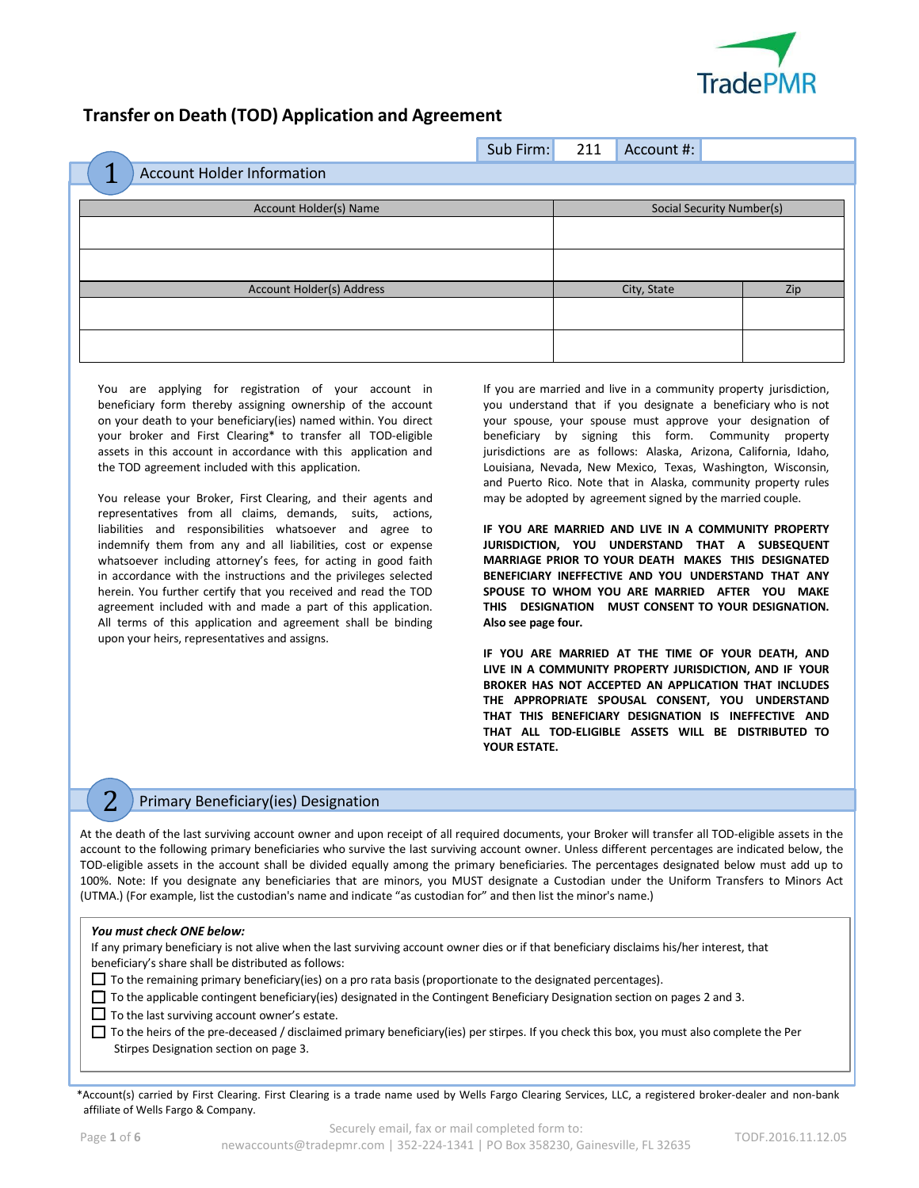

# **Transfer on Death (TOD) Application and Agreement**

|                                        | Sub Firm: | 211 | Account #:                |     |
|----------------------------------------|-----------|-----|---------------------------|-----|
| ×<br><b>Account Holder Information</b> |           |     |                           |     |
| Account Holder(s) Name                 |           |     | Social Security Number(s) |     |
|                                        |           |     |                           |     |
|                                        |           |     |                           |     |
|                                        |           |     |                           |     |
| Account Holder(s) Address              |           |     | City, State               | Zip |
|                                        |           |     |                           |     |
|                                        |           |     |                           |     |
|                                        |           |     |                           |     |

You are applying for registration of your account in beneficiary form thereby assigning ownership of the account on your death to your beneficiary(ies) named within. You direct your broker and First Clearing\* to transfer all TOD-eligible assets in this account in accordance with this application and the TOD agreement included with this application.

You release your Broker, First Clearing, and their agents and representatives from all claims, demands, suits, actions, liabilities and responsibilities whatsoever and agree to indemnify them from any and all liabilities, cost or expense whatsoever including attorney's fees, for acting in good faith in accordance with the instructions and the privileges selected herein. You further certify that you received and read the TOD agreement included with and made a part of this application. All terms of this application and agreement shall be binding upon your heirs, representatives and assigns.

If you are married and live in a community property jurisdiction, you understand that if you designate a beneficiary who is not your spouse, your spouse must approve your designation of beneficiary by signing this form. Community property jurisdictions are as follows: Alaska, Arizona, California, Idaho, Louisiana, Nevada, New Mexico, Texas, Washington, Wisconsin, and Puerto Rico. Note that in Alaska, community property rules may be adopted by agreement signed by the married couple.

**IF YOU ARE MARRIED AND LIVE IN A COMMUNITY PROPERTY JURISDICTION, YOU UNDERSTAND THAT A SUBSEQUENT MARRIAGE PRIOR TO YOUR DEATH MAKES THIS DESIGNATED BENEFICIARY INEFFECTIVE AND YOU UNDERSTAND THAT ANY SPOUSE TO WHOM YOU ARE MARRIED AFTER YOU MAKE THIS DESIGNATION MUST CONSENT TO YOUR DESIGNATION. Also see page four.**

**IF YOU ARE MARRIED AT THE TIME OF YOUR DEATH, AND LIVE IN A COMMUNITY PROPERTY JURISDICTION, AND IF YOUR BROKER HAS NOT ACCEPTED AN APPLICATION THAT INCLUDES THE APPROPRIATE SPOUSAL CONSENT, YOU UNDERSTAND THAT THIS BENEFICIARY DESIGNATION IS INEFFECTIVE AND THAT ALL TOD-ELIGIBLE ASSETS WILL BE DISTRIBUTED TO YOUR ESTATE.**

## 2 Primary Beneficiary(ies) Designation

At the death of the last surviving account owner and upon receipt of all required documents, your Broker will transfer all TOD-eligible assets in the account to the following primary beneficiaries who survive the last surviving account owner. Unless different percentages are indicated below, the TOD-eligible assets in the account shall be divided equally among the primary beneficiaries. The percentages designated below must add up to 100%. Note: If you designate any beneficiaries that are minors, you MUST designate a Custodian under the Uniform Transfers to Minors Act (UTMA.) (For example, list the custodian's name and indicate "as custodian for" and then list the minor's name.)

## *You must check ONE below:*

If any primary beneficiary is not alive when the last surviving account owner dies or if that beneficiary disclaims his/her interest, that beneficiary's share shall be distributed as follows:

☐ To the remaining primary beneficiary(ies) on a pro rata basis (proportionate to the designated percentages).

☐ To the applicable contingent beneficiary(ies) designated in the Contingent Beneficiary Designation section on pages 2 and 3.

□ To the last surviving account owner's estate.

☐ To the heirs of the pre-deceased / disclaimed primary beneficiary(ies) per stirpes. If you check this box, you must also complete the Per Stirpes Designation section on page 3.

\*Account(s) carried by First Clearing. First Clearing is a trade name used by Wells Fargo Clearing Services, LLC, a registered broker-dealer and non-bank affiliate of Wells Fargo & Company.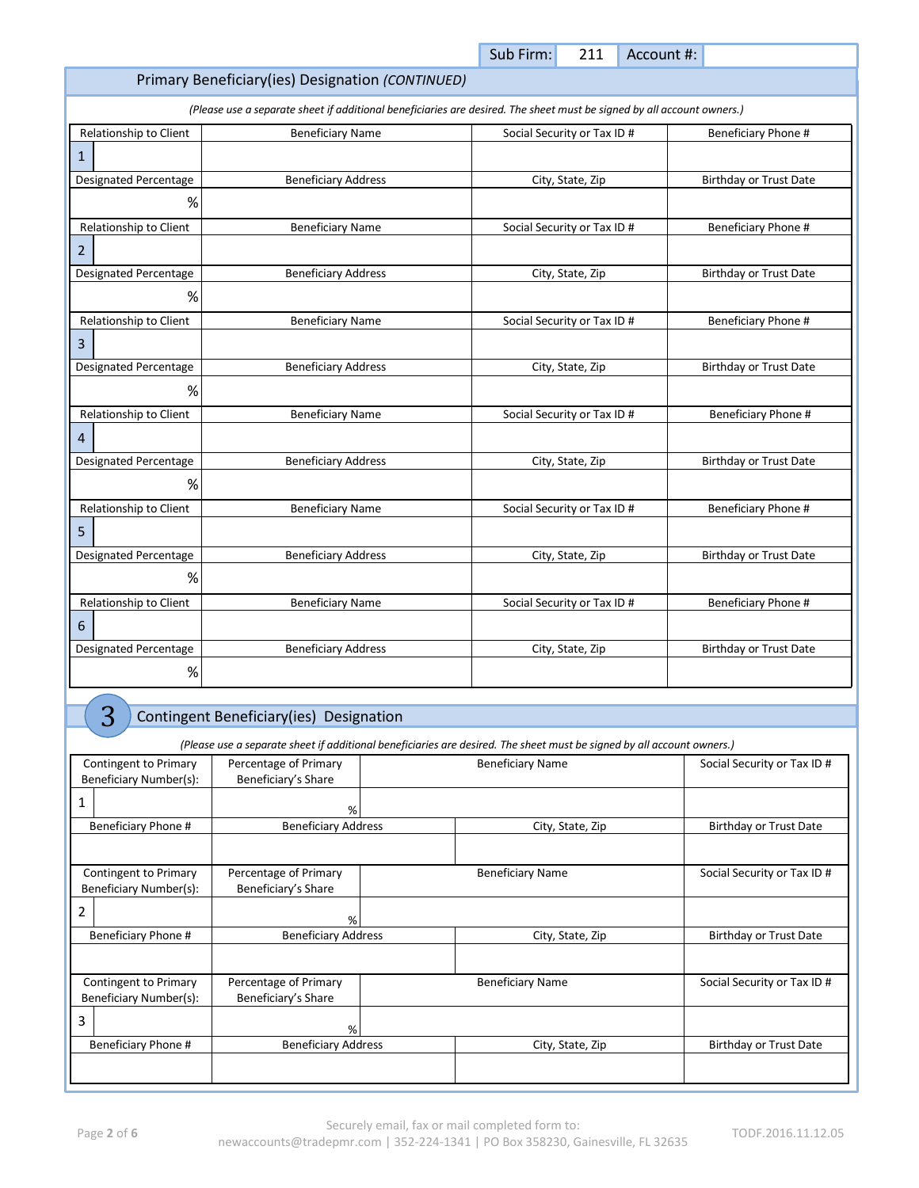| Primary Beneficiary (ies) Designation (CONTINUED) |  |
|---------------------------------------------------|--|
|---------------------------------------------------|--|

*(Please use a separate sheet if additional beneficiaries are desired. The sheet must be signed by all account owners.)*

| Relationship to Client       | <b>Beneficiary Name</b>    | Social Security or Tax ID # | Beneficiary Phone #           |
|------------------------------|----------------------------|-----------------------------|-------------------------------|
| $\mathbf{1}$                 |                            |                             |                               |
| <b>Designated Percentage</b> | <b>Beneficiary Address</b> | City, State, Zip            | <b>Birthday or Trust Date</b> |
| %                            |                            |                             |                               |
| Relationship to Client       | <b>Beneficiary Name</b>    | Social Security or Tax ID # | Beneficiary Phone #           |
| 2                            |                            |                             |                               |
| Designated Percentage        | <b>Beneficiary Address</b> | City, State, Zip            | <b>Birthday or Trust Date</b> |
| %                            |                            |                             |                               |
| Relationship to Client       | <b>Beneficiary Name</b>    | Social Security or Tax ID # | Beneficiary Phone #           |
| 3                            |                            |                             |                               |
| <b>Designated Percentage</b> | <b>Beneficiary Address</b> | City, State, Zip            | <b>Birthday or Trust Date</b> |
| %                            |                            |                             |                               |
| Relationship to Client       | <b>Beneficiary Name</b>    | Social Security or Tax ID # | Beneficiary Phone #           |
| 4                            |                            |                             |                               |
| <b>Designated Percentage</b> | <b>Beneficiary Address</b> | City, State, Zip            | <b>Birthday or Trust Date</b> |
| %                            |                            |                             |                               |
| Relationship to Client       | <b>Beneficiary Name</b>    | Social Security or Tax ID # | Beneficiary Phone #           |
| 5                            |                            |                             |                               |
| Designated Percentage        | <b>Beneficiary Address</b> | City, State, Zip            | <b>Birthday or Trust Date</b> |
| %                            |                            |                             |                               |
| Relationship to Client       | <b>Beneficiary Name</b>    | Social Security or Tax ID # | Beneficiary Phone #           |
| 6                            |                            |                             |                               |
| <b>Designated Percentage</b> | <b>Beneficiary Address</b> | City, State, Zip            | <b>Birthday or Trust Date</b> |
| $\%$                         |                            |                             |                               |

3 Contingent Beneficiary(ies) Designation

*(Please use a separate sheet if additional beneficiaries are desired. The sheet must be signed by all account owners.)*

| Contingent to Primary<br>Beneficiary Number(s): | Percentage of Primary<br>Beneficiary's Share | <b>Beneficiary Name</b> |                         | Social Security or Tax ID # |
|-------------------------------------------------|----------------------------------------------|-------------------------|-------------------------|-----------------------------|
| 1                                               | %                                            |                         |                         |                             |
| Beneficiary Phone #                             | <b>Beneficiary Address</b>                   |                         | City, State, Zip        | Birthday or Trust Date      |
|                                                 |                                              |                         |                         |                             |
| Contingent to Primary                           | Percentage of Primary                        |                         | <b>Beneficiary Name</b> | Social Security or Tax ID # |
| Beneficiary Number(s):                          | Beneficiary's Share                          |                         |                         |                             |
| 2                                               | %                                            |                         |                         |                             |
| Beneficiary Phone #                             | <b>Beneficiary Address</b>                   |                         | City, State, Zip        | Birthday or Trust Date      |
|                                                 |                                              |                         |                         |                             |
| Contingent to Primary                           | Percentage of Primary                        |                         | <b>Beneficiary Name</b> | Social Security or Tax ID # |
| Beneficiary Number(s):                          | Beneficiary's Share                          |                         |                         |                             |
| 3                                               | %                                            |                         |                         |                             |
| Beneficiary Phone #                             | <b>Beneficiary Address</b>                   |                         | City, State, Zip        | Birthday or Trust Date      |
|                                                 |                                              |                         |                         |                             |

Sub Firm: 211 Account #: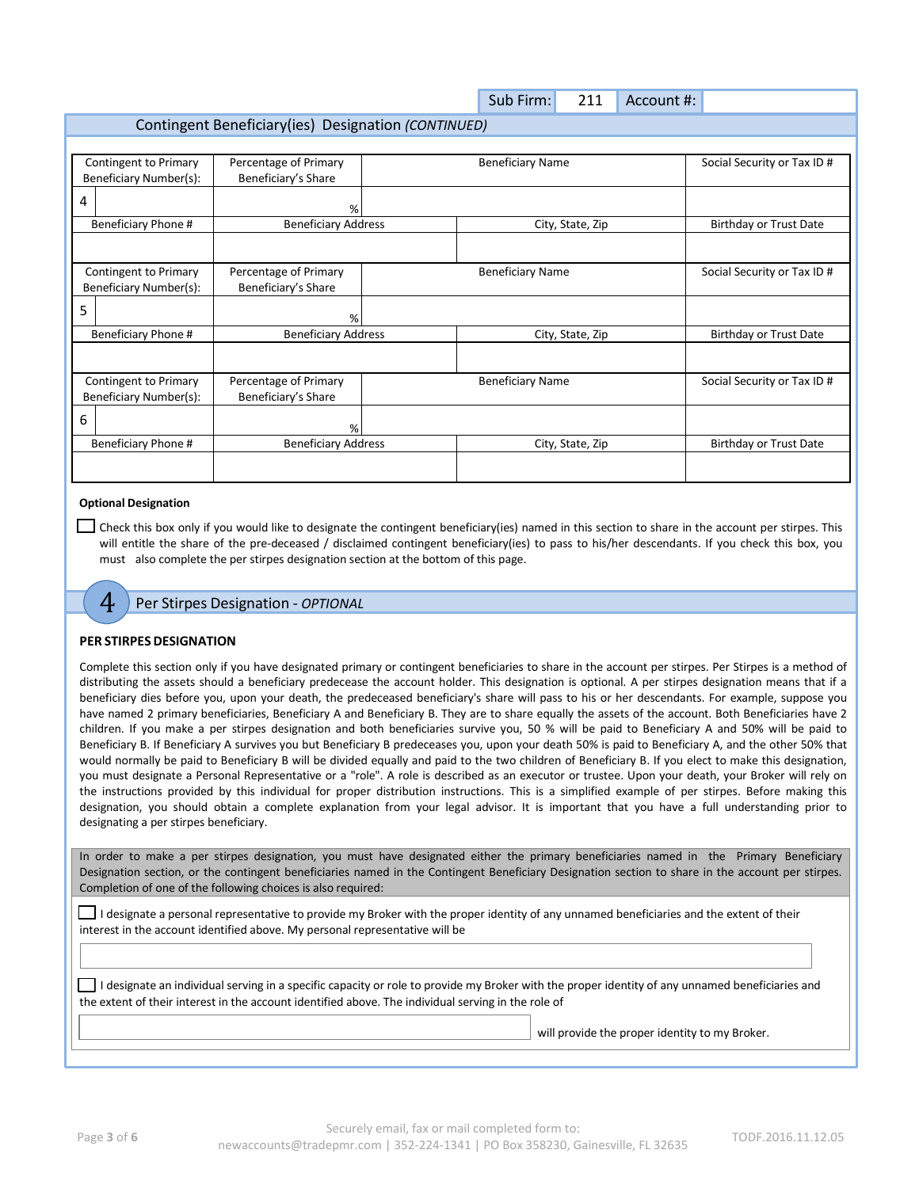|                                                     |                            |  | Sub Firm:               | 211              | Account #: |                               |
|-----------------------------------------------------|----------------------------|--|-------------------------|------------------|------------|-------------------------------|
| Contingent Beneficiary(ies) Designation (CONTINUED) |                            |  |                         |                  |            |                               |
|                                                     |                            |  |                         |                  |            |                               |
| Contingent to Primary                               | Percentage of Primary      |  | <b>Beneficiary Name</b> |                  |            | Social Security or Tax ID #   |
| Beneficiary Number(s):                              | Beneficiary's Share        |  |                         |                  |            |                               |
| 4                                                   | %                          |  |                         |                  |            |                               |
| Beneficiary Phone #                                 | <b>Beneficiary Address</b> |  |                         | City, State, Zip |            | <b>Birthday or Trust Date</b> |
|                                                     |                            |  |                         |                  |            |                               |
| Contingent to Primary                               | Percentage of Primary      |  | <b>Beneficiary Name</b> |                  |            | Social Security or Tax ID #   |
| Beneficiary Number(s):                              | Beneficiary's Share        |  |                         |                  |            |                               |
| 5                                                   | %                          |  |                         |                  |            |                               |
| Beneficiary Phone #                                 | <b>Beneficiary Address</b> |  |                         | City, State, Zip |            | Birthday or Trust Date        |
|                                                     |                            |  |                         |                  |            |                               |
| <b>Contingent to Primary</b>                        | Percentage of Primary      |  | <b>Beneficiary Name</b> |                  |            | Social Security or Tax ID #   |
| Beneficiary Number(s):                              | Beneficiary's Share        |  |                         |                  |            |                               |
| 6                                                   | %                          |  |                         |                  |            |                               |
| Beneficiary Phone #                                 | <b>Beneficiary Address</b> |  |                         | City, State, Zip |            | Birthday or Trust Date        |
|                                                     |                            |  |                         |                  |            |                               |

## **Optional Designation**

□ Check this box only if you would like to designate the contingent beneficiary(ies) named in this section to share in the account per stirpes. This will entitle the share of the pre-deceased / disclaimed contingent beneficiary(ies) to pass to his/her descendants. If you check this box, you must also complete the per stirpes designation section at the bottom of this page.

4 Per Stirpes Designation - *OPTIONAL*

## **PER STIRPES DESIGNATION**

Complete this section only if you have designated primary or contingent beneficiaries to share in the account per stirpes. Per Stirpes is a method of distributing the assets should a beneficiary predecease the account holder. This designation is optional. A per stirpes designation means that if a beneficiary dies before you, upon your death, the predeceased beneficiary's share will pass to his or her descendants. For example, suppose you have named 2 primary beneficiaries, Beneficiary A and Beneficiary B. They are to share equally the assets of the account. Both Beneficiaries have 2 children. If you make a per stirpes designation and both beneficiaries survive you, 50 % will be paid to Beneficiary A and 50% will be paid to Beneficiary B. If Beneficiary A survives you but Beneficiary B predeceases you, upon your death 50% is paid to Beneficiary A, and the other 50% that would normally be paid to Beneficiary B will be divided equally and paid to the two children of Beneficiary B. If you elect to make this designation, you must designate a Personal Representative or a "role". A role is described as an executor or trustee. Upon your death, your Broker will rely on the instructions provided by this individual for proper distribution instructions. This is a simplified example of per stirpes. Before making this designation, you should obtain a complete explanation from your legal advisor. It is important that you have a full understanding prior to designating a per stirpes beneficiary.

In order to make a per stirpes designation, you must have designated either the primary beneficiaries named in the Primary Beneficiary Designation section, or the contingent beneficiaries named in the Contingent Beneficiary Designation section to share in the account per stirpes. Completion of one of the following choices is also required:

 $\Box$  I designate a personal representative to provide my Broker with the proper identity of any unnamed beneficiaries and the extent of their interest in the account identified above. My personal representative will be

□ I designate an individual serving in a specific capacity or role to provide my Broker with the proper identity of any unnamed beneficiaries and the extent of their interest in the account identified above. The individual serving in the role of

will provide the proper identity to my Broker.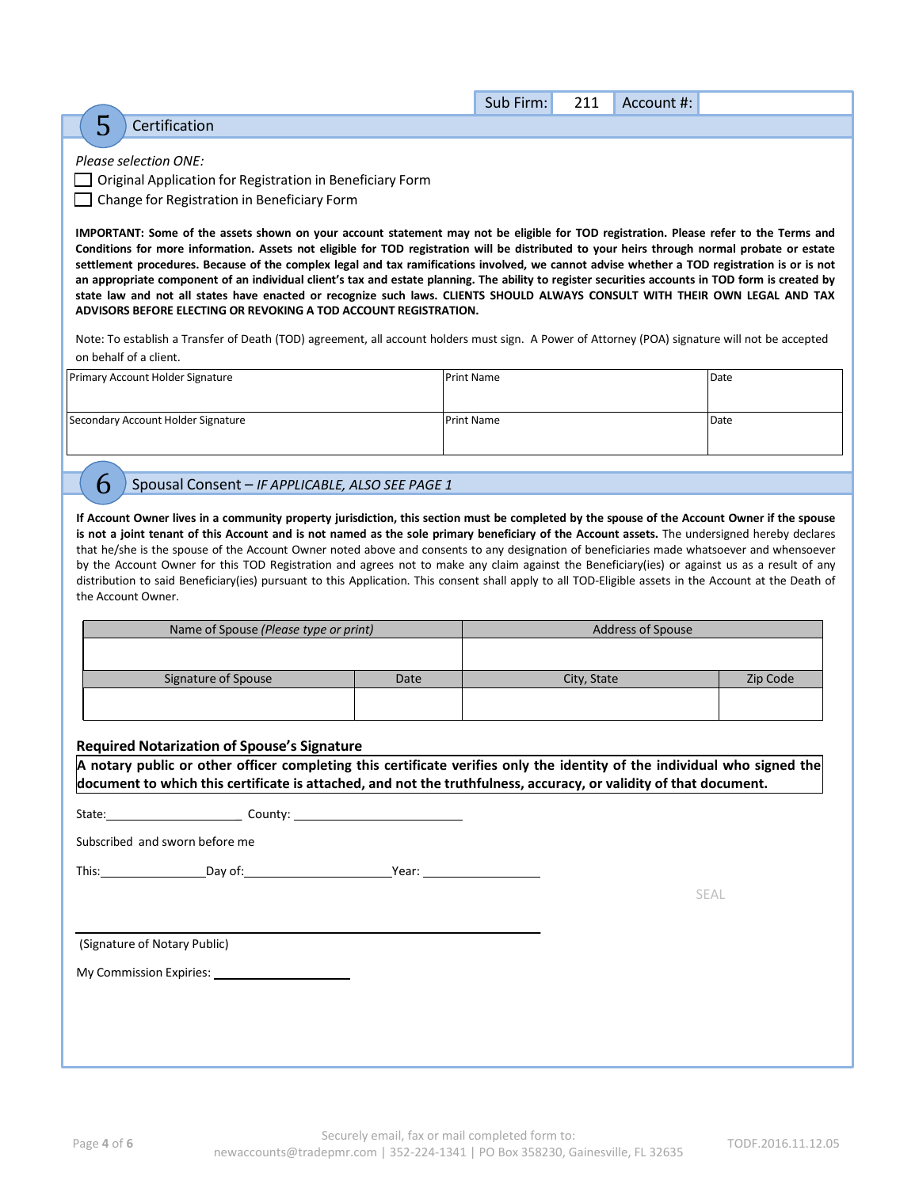|   |                       | Sub Firm: | 211 | Account #: |  |
|---|-----------------------|-----------|-----|------------|--|
| ت | Certification         |           |     |            |  |
|   |                       |           |     |            |  |
|   | Please selection ONE: |           |     |            |  |

□ Original Application for Registration in Beneficiary Form

☐ Change for Registration in Beneficiary Form

IMPORTANT: Some of the assets shown on your account statement may not be eligible for TOD registration. Please refer to the Terms and Conditions for more information. Assets not eligible for TOD registration will be distributed to your heirs through normal probate or estate settlement procedures. Because of the complex legal and tax ramifications involved, we cannot advise whether a TOD registration is or is not an appropriate component of an individual client's tax and estate planning. The ability to register securities accounts in TOD form is created by state law and not all states have enacted or recognize such laws. CLIENTS SHOULD ALWAYS CONSULT WITH THEIR OWN LEGAL AND TAX **ADVISORS BEFORE ELECTING OR REVOKING A TOD ACCOUNT REGISTRATION.**

Note: To establish a Transfer of Death (TOD) agreement, all account holders must sign. A Power of Attorney (POA) signature will not be accepted on behalf of a client.

| Primary Account Holder Signature   | <b>Print Name</b> | Date |
|------------------------------------|-------------------|------|
| Secondary Account Holder Signature | <b>Print Name</b> | Date |

## 6 Spousal Consent – *IF APPLICABLE, ALSO SEE PAGE <sup>1</sup>*

If Account Owner lives in a community property jurisdiction, this section must be completed by the spouse of the Account Owner if the spouse is not a joint tenant of this Account and is not named as the sole primary beneficiary of the Account assets. The undersigned hereby declares that he/she is the spouse of the Account Owner noted above and consents to any designation of beneficiaries made whatsoever and whensoever by the Account Owner for this TOD Registration and agrees not to make any claim against the Beneficiary(ies) or against us as a result of any distribution to said Beneficiary(ies) pursuant to this Application. This consent shall apply to all TOD-Eligible assets in the Account at the Death of the Account Owner.

|      | <b>Address of Spouse</b> |          |
|------|--------------------------|----------|
|      |                          |          |
| Date | City, State              | Zip Code |
|      |                          |          |
|      |                          |          |

## **Required Notarization of Spouse's Signature**

**A notary public or other officer completing this certificate verifies only the identity of the individual who signed the document to which this certificate is attached, and not the truthfulness, accuracy, or validity of that document.**

| State: | County: |
|--------|---------|
|        |         |

Subscribed and sworn before me

This: Day of: Payer: Payer: Payer: Payer: Payer: Payer: Payer: Payer: Payer: Payer: Payer: Payer: Payer: Payer: Payer: Payer: Payer: Payer: Payer: Payer: Payer: Payer: Payer: Payer: Payer: Payer: Payer: Payer: Payer: Payer

SEAL

(Signature of Notary Public)

My Commission Expiries: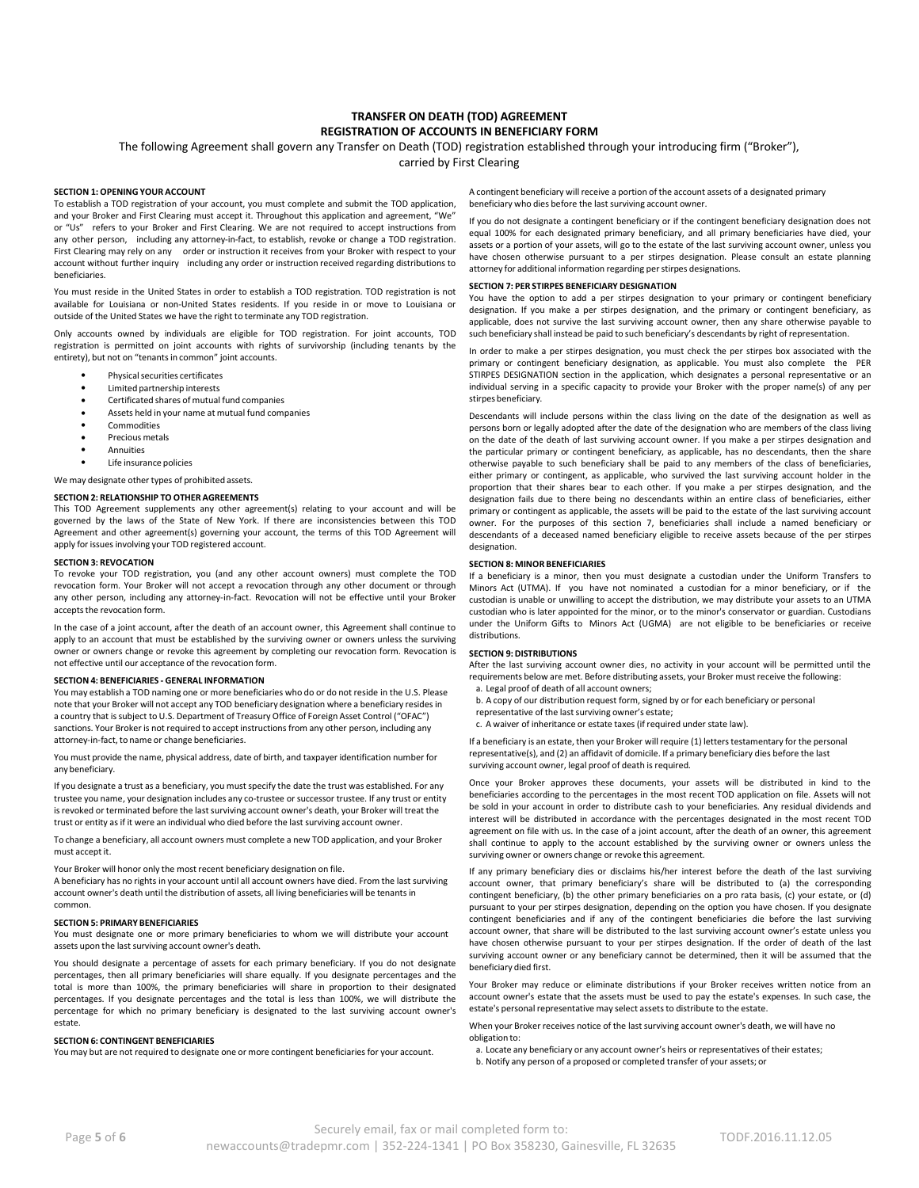### **TRANSFER ON DEATH (TOD) AGREEMENT REGISTRATION OF ACCOUNTS IN BENEFICIARY FORM**

The following Agreement shall govern any Transfer on Death (TOD) registration established through your introducing firm ("Broker"),

carried by First Clearing

#### **SECTION 1: OPENING YOUR ACCOUNT**

To establish a TOD registration of your account, you must complete and submit the TOD application, and your Broker and First Clearing must accept it. Throughout this application and agreement, "We" or "Us" refers to your Broker and First Clearing. We are not required to accept instructions from any other person, including any attorney-in-fact, to establish, revoke or change a TOD registration. First Clearing may rely on any order or instruction it receives from your Broker with respect to your account without further inquiry including any order or instruction received regarding distributions to beneficiaries.

You must reside in the United States in order to establish a TOD registration. TOD registration is not available for Louisiana or non-United States residents. If you reside in or move to Louisiana or outside of the United States we have the right to terminate any TOD registration.

Only accounts owned by individuals are eligible for TOD registration. For joint accounts, TOD registration is permitted on joint accounts with rights of survivorship (including tenants by the entirety), but not on "tenants in common" joint accounts.

- **•** Physical securities certificates  $\bullet$ 
	- $\bullet$ Limited partnership interests
	- $\bullet$ Certificated shares of mutual fund companies
	- $\bullet$ Assets held in your name at mutual fund companies
	- $\bullet$ Commodities
	- $\bullet$ Precious metals Annuities
	- $\bullet$  $\bullet$ Life insurance policies

We may designate other types of prohibited assets.

#### **SECTION 2: RELATIONSHIP TO OTHER AGREEMENTS**

This TOD Agreement supplements any other agreement(s) relating to your account and will be governed by the laws of the State of New York. If there are inconsistencies between this TOD Agreement and other agreement(s) governing your account, the terms of this TOD Agreement will apply for issues involving your TOD registered account.

#### **SECTION 3: REVOCATION**

To revoke your TOD registration, you (and any other account owners) must complete the TOD revocation form. Your Broker will not accept a revocation through any other document or through any other person, including any attorney-in-fact. Revocation will not be effective until your Broker accepts the revocation form.

In the case of a joint account, after the death of an account owner, this Agreement shall continue to apply to an account that must be established by the surviving owner or owners unless the surviving owner or owners change or revoke this agreement by completing our revocation form. Revocation is not effective until our acceptance of the revocation form.

#### **SECTION 4: BENEFICIARIES - GENERAL INFORMATION**

You may establish a TOD naming one or more beneficiaries who do or do not reside in the U.S. Please note that your Broker will not accept any TOD beneficiary designation where a beneficiary resides in a country that issubject to U.S. Department of Treasury Office of Foreign Asset Control ("OFAC") sanctions. Your Broker is not required to accept instructions from any other person, including any attorney-in-fact, to name or change beneficiaries.

You must provide the name, physical address, date of birth, and taxpayer identification number for any beneficiary.

If you designate a trust as a beneficiary, you must specify the date the trust was established. For any trustee you name, your designation includes any co-trustee or successor trustee. If any trust or entity is revoked or terminated before the last surviving account owner's death, your Broker will treat the trust or entity as if it were an individual who died before the last surviving account owner.

To change a beneficiary, all account owners must complete a new TOD application, and your Broker must accept it.

Your Broker will honor only the most recent beneficiary designation on file.

A beneficiary has no rights in your account until all account owners have died. From the last surviving account owner's death until the distribution of assets, all living beneficiaries will be tenants in common.

#### **SECTION 5: PRIMARY BENEFICIARIES**

You must designate one or more primary beneficiaries to whom we will distribute your account assets upon the last surviving account owner's death.

You should designate a percentage of assets for each primary beneficiary. If you do not designate percentages, then all primary beneficiaries will share equally. If you designate percentages and the total is more than 100%, the primary beneficiaries will share in proportion to their designated percentages. If you designate percentages and the total is less than 100%, we will distribute the percentage for which no primary beneficiary is designated to the last surviving account owner's estate.

#### **SECTION 6: CONTINGENT BENEFICIARIES**

You may but are not required to designate one or more contingent beneficiaries for your account.

A contingent beneficiary will receive a portion of the account assets of a designated primary beneficiary who dies before the last surviving account owner.

If you do not designate a contingent beneficiary or if the contingent beneficiary designation does not equal 100% for each designated primary beneficiary, and all primary beneficiaries have died, your assets or a portion of your assets, will go to the estate of the last surviving account owner, unless you have chosen otherwise pursuant to a per stirpes designation. Please consult an estate planning attorney for additional information regarding perstirpes designations.

#### **SECTION 7: PER STIRPES BENEFICIARY DESIGNATION**

You have the option to add a per stirpes designation to your primary or contingent beneficiary designation. If you make a per stirpes designation, and the primary or contingent beneficiary, as applicable, does not survive the last surviving account owner, then any share otherwise payable to such beneficiary shall instead be paid to such beneficiary's descendants by right of representation.

In order to make a per stirpes designation, you must check the per stirpes box associated with the primary or contingent beneficiary designation, as applicable. You must also complete the PER STIRPES DESIGNATION section in the application, which designates a personal representative or an individual serving in a specific capacity to provide your Broker with the proper name(s) of any per stirpes beneficiary.

Descendants will include persons within the class living on the date of the designation as well as persons born or legally adopted after the date of the designation who are members of the class living on the date of the death of last surviving account owner. If you make a per stirpes designation and the particular primary or contingent beneficiary, as applicable, has no descendants, then the share otherwise payable to such beneficiary shall be paid to any members of the class of beneficiaries, either primary or contingent, as applicable, who survived the last surviving account holder in the proportion that their shares bear to each other. If you make a per stirpes designation, and the designation fails due to there being no descendants within an entire class of beneficiaries, either primary or contingent as applicable, the assets will be paid to the estate of the last surviving account owner. For the purposes of this section 7, beneficiaries shall include a named beneficiary or descendants of a deceased named beneficiary eligible to receive assets because of the per stirpes designation.

#### **SECTION 8: MINOR BENEFICIARIES**

If a beneficiary is a minor, then you must designate a custodian under the Uniform Transfers to Minors Act (UTMA). If you have not nominated a custodian for a minor beneficiary, or if the custodian is unable or unwilling to accept the distribution, we may distribute your assets to an UTMA custodian who is later appointed for the minor, or to the minor's conservator or guardian. Custodians under the Uniform Gifts to Minors Act (UGMA) are not eligible to be beneficiaries or receive distributions.

#### **SECTION 9:DISTRIBUTIONS**

After the last surviving account owner dies, no activity in your account will be permitted until the requirements below are met. Before distributing assets, your Broker must receive the following:

- a. Legal proof of death of all account owners;
- b. A copy of our distribution request form, signed by or for each beneficiary or personal
- representative of the last surviving owner's estate; c. A waiver of inheritance or estate taxes (if required under state law).
- 

If a beneficiary is an estate, then your Broker will require (1) letters testamentary for the personal representative(s), and (2) an affidavit of domicile. If a primary beneficiary dies before the last surviving account owner, legal proof of death is required.

Once your Broker approves these documents, your assets will be distributed in kind to the beneficiaries according to the percentages in the most recent TOD application on file. Assets will not be sold in your account in order to distribute cash to your beneficiaries. Any residual dividends and interest will be distributed in accordance with the percentages designated in the most recent TOD agreement on file with us. In the case of a joint account, after the death of an owner, this agreement shall continue to apply to the account established by the surviving owner or owners unless the surviving owner or owners change or revoke this agreement.

If any primary beneficiary dies or disclaims his/her interest before the death of the last surviving account owner, that primary beneficiary's share will be distributed to (a) the corresponding contingent beneficiary, (b) the other primary beneficiaries on a pro rata basis, (c) your estate, or (d) pursuant to your per stirpes designation, depending on the option you have chosen. If you designate contingent beneficiaries and if any of the contingent beneficiaries die before the last surviving account owner, that share will be distributed to the last surviving account owner's estate unless you have chosen otherwise pursuant to your per stirpes designation. If the order of death of the last surviving account owner or any beneficiary cannot be determined, then it will be assumed that the beneficiary died first.

Your Broker may reduce or eliminate distributions if your Broker receives written notice from an account owner's estate that the assets must be used to pay the estate's expenses. In such case, the estate's personal representative may select assets to distribute to the estate.

When your Broker receives notice of the last surviving account owner's death, we will have no obligation to:

a. Locate any beneficiary or any account owner's heirs or representatives of their estates; b. Notify any person of a proposed or completed transfer of your assets; or